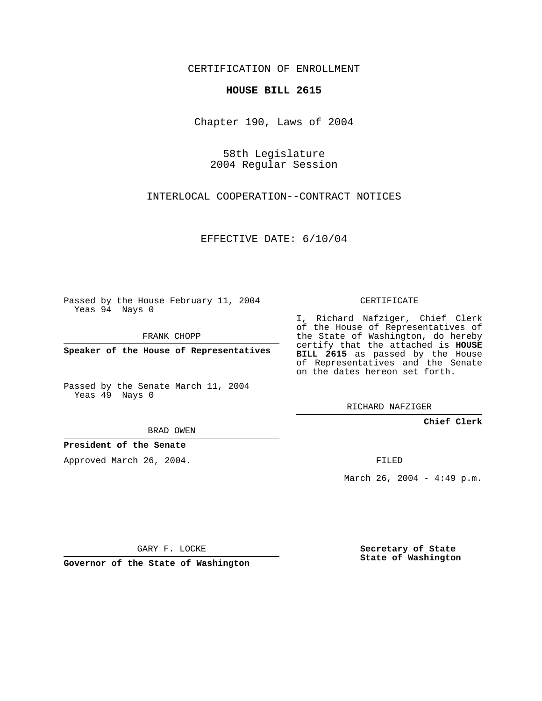CERTIFICATION OF ENROLLMENT

## **HOUSE BILL 2615**

Chapter 190, Laws of 2004

58th Legislature 2004 Regular Session

INTERLOCAL COOPERATION--CONTRACT NOTICES

EFFECTIVE DATE: 6/10/04

Passed by the House February 11, 2004 Yeas 94 Nays 0

FRANK CHOPP

**Speaker of the House of Representatives**

Passed by the Senate March 11, 2004 Yeas 49 Nays 0

I, Richard Nafziger, Chief Clerk

of the House of Representatives of the State of Washington, do hereby certify that the attached is **HOUSE BILL 2615** as passed by the House of Representatives and the Senate on the dates hereon set forth.

CERTIFICATE

RICHARD NAFZIGER

**Chief Clerk**

BRAD OWEN

**President of the Senate**

Approved March 26, 2004.

FILED

March 26, 2004 -  $4:49$  p.m.

GARY F. LOCKE

**Governor of the State of Washington**

**Secretary of State State of Washington**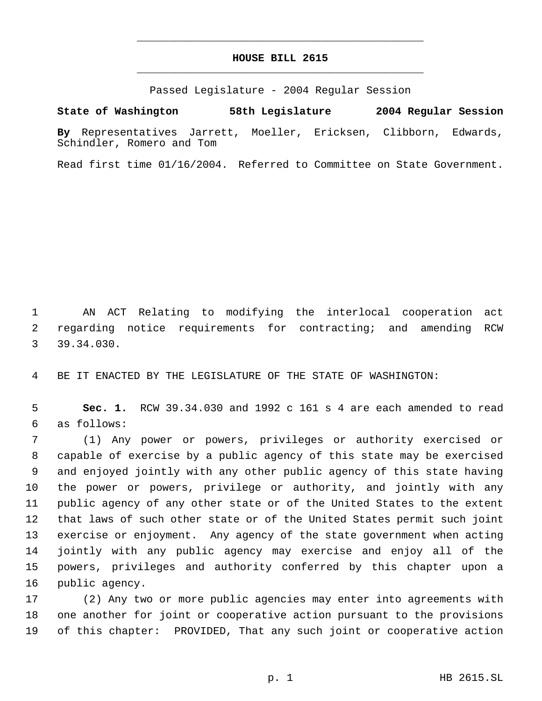## **HOUSE BILL 2615** \_\_\_\_\_\_\_\_\_\_\_\_\_\_\_\_\_\_\_\_\_\_\_\_\_\_\_\_\_\_\_\_\_\_\_\_\_\_\_\_\_\_\_\_\_

\_\_\_\_\_\_\_\_\_\_\_\_\_\_\_\_\_\_\_\_\_\_\_\_\_\_\_\_\_\_\_\_\_\_\_\_\_\_\_\_\_\_\_\_\_

Passed Legislature - 2004 Regular Session

**State of Washington 58th Legislature 2004 Regular Session**

**By** Representatives Jarrett, Moeller, Ericksen, Clibborn, Edwards, Schindler, Romero and Tom

Read first time 01/16/2004. Referred to Committee on State Government.

 AN ACT Relating to modifying the interlocal cooperation act regarding notice requirements for contracting; and amending RCW 39.34.030.

BE IT ENACTED BY THE LEGISLATURE OF THE STATE OF WASHINGTON:

 **Sec. 1.** RCW 39.34.030 and 1992 c 161 s 4 are each amended to read as follows:

 (1) Any power or powers, privileges or authority exercised or capable of exercise by a public agency of this state may be exercised and enjoyed jointly with any other public agency of this state having the power or powers, privilege or authority, and jointly with any public agency of any other state or of the United States to the extent that laws of such other state or of the United States permit such joint exercise or enjoyment. Any agency of the state government when acting jointly with any public agency may exercise and enjoy all of the powers, privileges and authority conferred by this chapter upon a public agency.

 (2) Any two or more public agencies may enter into agreements with one another for joint or cooperative action pursuant to the provisions of this chapter: PROVIDED, That any such joint or cooperative action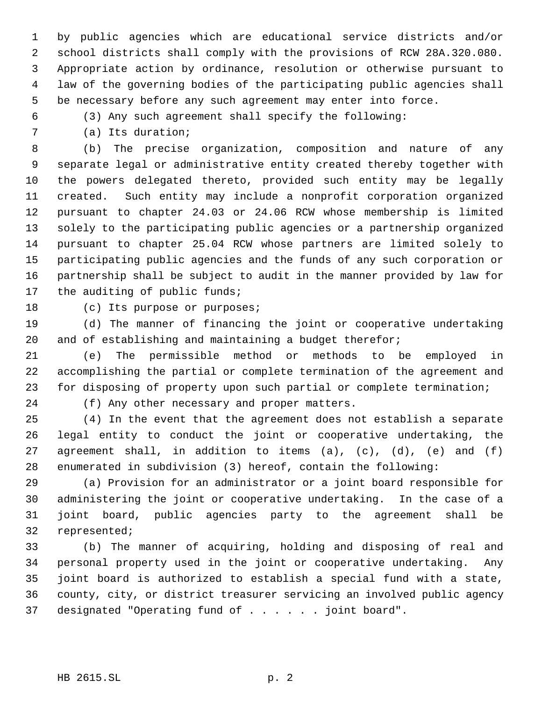by public agencies which are educational service districts and/or school districts shall comply with the provisions of RCW 28A.320.080. Appropriate action by ordinance, resolution or otherwise pursuant to law of the governing bodies of the participating public agencies shall be necessary before any such agreement may enter into force.

(3) Any such agreement shall specify the following:

(a) Its duration;

 (b) The precise organization, composition and nature of any separate legal or administrative entity created thereby together with the powers delegated thereto, provided such entity may be legally created. Such entity may include a nonprofit corporation organized pursuant to chapter 24.03 or 24.06 RCW whose membership is limited solely to the participating public agencies or a partnership organized pursuant to chapter 25.04 RCW whose partners are limited solely to participating public agencies and the funds of any such corporation or partnership shall be subject to audit in the manner provided by law for the auditing of public funds;

18 (c) Its purpose or purposes;

 (d) The manner of financing the joint or cooperative undertaking and of establishing and maintaining a budget therefor;

 (e) The permissible method or methods to be employed in accomplishing the partial or complete termination of the agreement and for disposing of property upon such partial or complete termination;

(f) Any other necessary and proper matters.

 (4) In the event that the agreement does not establish a separate legal entity to conduct the joint or cooperative undertaking, the agreement shall, in addition to items (a), (c), (d), (e) and (f) enumerated in subdivision (3) hereof, contain the following:

 (a) Provision for an administrator or a joint board responsible for administering the joint or cooperative undertaking. In the case of a joint board, public agencies party to the agreement shall be represented;

 (b) The manner of acquiring, holding and disposing of real and personal property used in the joint or cooperative undertaking. Any joint board is authorized to establish a special fund with a state, county, city, or district treasurer servicing an involved public agency 37 designated "Operating fund of . . . . . joint board".